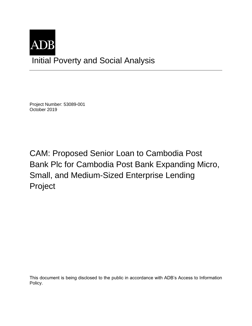

Project Number: 53089-001 October 2019

CAM: Proposed Senior Loan to Cambodia Post Bank Plc for Cambodia Post Bank Expanding Micro, Small, and Medium-Sized Enterprise Lending Project

This document is being disclosed to the public in accordance with ADB's Access to Information Policy.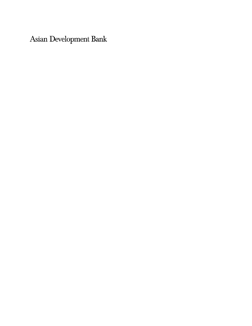Asian Development Bank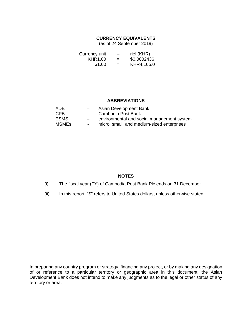## **CURRENCY EQUIVALENTS**

(as of 24 September 2019)

| Currency unit | $\qquad \qquad \blacksquare$ | riel (KHR)  |
|---------------|------------------------------|-------------|
| KHR1.00       | $=$                          | \$0.0002436 |
| \$1.00        | $=$                          | KHR4,105.0  |

## **ABBREVIATIONS**

| ADB          |        | Asian Development Bank                     |
|--------------|--------|--------------------------------------------|
| CPB          | $-$    | Cambodia Post Bank                         |
| ESMS.        | $-$    | environmental and social management system |
| <b>MSMEs</b> | $\sim$ | micro, small, and medium-sized enterprises |

## **NOTES**

- (i) The fiscal year (FY) of Cambodia Post Bank Plc ends on 31 December.
- (ii) In this report, "\$" refers to United States dollars, unless otherwise stated.

In preparing any country program or strategy, financing any project, or by making any designation of or reference to a particular territory or geographic area in this document, the Asian Development Bank does not intend to make any judgments as to the legal or other status of any territory or area.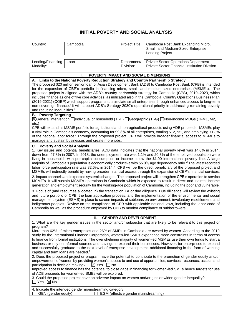## **INITIAL POVERTY AND SOCIAL ANALYSIS**

| Country:                                                                                                                                                                                                                                                                                                                                                                                                                                                                                                                                                                                                                                                                                                                                                                                                                                                                                                                                                                                                                                                                                                                                                                                                                                                                                                                                                                                                                                                                                                                                                                                                                                                                                                                      | Cambodia                                                                                                                           | Project Title:                       | Cambodia Post Bank Expanding Micro,<br>Small, and Medium-Sized Enterprise<br>Lending Project                                                                                                                                                                                                                                                                                                                                                                                                                                                                                                                                                                                                                                                                                                                                                                                                                                                                                                                                                                |  |
|-------------------------------------------------------------------------------------------------------------------------------------------------------------------------------------------------------------------------------------------------------------------------------------------------------------------------------------------------------------------------------------------------------------------------------------------------------------------------------------------------------------------------------------------------------------------------------------------------------------------------------------------------------------------------------------------------------------------------------------------------------------------------------------------------------------------------------------------------------------------------------------------------------------------------------------------------------------------------------------------------------------------------------------------------------------------------------------------------------------------------------------------------------------------------------------------------------------------------------------------------------------------------------------------------------------------------------------------------------------------------------------------------------------------------------------------------------------------------------------------------------------------------------------------------------------------------------------------------------------------------------------------------------------------------------------------------------------------------------|------------------------------------------------------------------------------------------------------------------------------------|--------------------------------------|-------------------------------------------------------------------------------------------------------------------------------------------------------------------------------------------------------------------------------------------------------------------------------------------------------------------------------------------------------------------------------------------------------------------------------------------------------------------------------------------------------------------------------------------------------------------------------------------------------------------------------------------------------------------------------------------------------------------------------------------------------------------------------------------------------------------------------------------------------------------------------------------------------------------------------------------------------------------------------------------------------------------------------------------------------------|--|
|                                                                                                                                                                                                                                                                                                                                                                                                                                                                                                                                                                                                                                                                                                                                                                                                                                                                                                                                                                                                                                                                                                                                                                                                                                                                                                                                                                                                                                                                                                                                                                                                                                                                                                                               |                                                                                                                                    |                                      |                                                                                                                                                                                                                                                                                                                                                                                                                                                                                                                                                                                                                                                                                                                                                                                                                                                                                                                                                                                                                                                             |  |
| Lending/Financing<br>Modality:                                                                                                                                                                                                                                                                                                                                                                                                                                                                                                                                                                                                                                                                                                                                                                                                                                                                                                                                                                                                                                                                                                                                                                                                                                                                                                                                                                                                                                                                                                                                                                                                                                                                                                | Loan                                                                                                                               | Department/<br>Division:             | <b>Private Sector Operations Department</b><br>Private Sector Financial Institution Division                                                                                                                                                                                                                                                                                                                                                                                                                                                                                                                                                                                                                                                                                                                                                                                                                                                                                                                                                                |  |
|                                                                                                                                                                                                                                                                                                                                                                                                                                                                                                                                                                                                                                                                                                                                                                                                                                                                                                                                                                                                                                                                                                                                                                                                                                                                                                                                                                                                                                                                                                                                                                                                                                                                                                                               |                                                                                                                                    |                                      |                                                                                                                                                                                                                                                                                                                                                                                                                                                                                                                                                                                                                                                                                                                                                                                                                                                                                                                                                                                                                                                             |  |
|                                                                                                                                                                                                                                                                                                                                                                                                                                                                                                                                                                                                                                                                                                                                                                                                                                                                                                                                                                                                                                                                                                                                                                                                                                                                                                                                                                                                                                                                                                                                                                                                                                                                                                                               | POVERTY IMPACT AND SOCIAL DIMENSIONS<br>ı.<br>A. Links to the National Poverty Reduction Strategy and Country Partnership Strategy |                                      |                                                                                                                                                                                                                                                                                                                                                                                                                                                                                                                                                                                                                                                                                                                                                                                                                                                                                                                                                                                                                                                             |  |
| and reducing inequalities. <sup>b</sup>                                                                                                                                                                                                                                                                                                                                                                                                                                                                                                                                                                                                                                                                                                                                                                                                                                                                                                                                                                                                                                                                                                                                                                                                                                                                                                                                                                                                                                                                                                                                                                                                                                                                                       |                                                                                                                                    |                                      | The proposed \$20 million senior loan of Asian Development Bank (ADB) to Cambodia Post Bank (CPB) is intended<br>for the expansion of CBP's portfolio in financing micro, small, and medium-sized enterprises (MSMEs). The<br>proposed project is aligned with the ADB's country partnership strategy for Cambodia (CPS), 2019–2023, which<br>includes finance as one of five core activities, as indicated also in the Cambodia: Country Operations Business Plan<br>(2019-2021) (COBP) which support programs to stimulate small enterprises through enhanced access to long-term<br>non-sovereign finance. <sup>a</sup> It will support ADB's Strategy 2030's operational priority in addressing remaining poverty                                                                                                                                                                                                                                                                                                                                       |  |
| <b>Poverty Targeting</b><br>В.<br>⊠General intervention □Individual or household (TI-H) □Geographic (TI-G) □Non-income MDGs (TI-M1, M2,<br>etc.)                                                                                                                                                                                                                                                                                                                                                                                                                                                                                                                                                                                                                                                                                                                                                                                                                                                                                                                                                                                                                                                                                                                                                                                                                                                                                                                                                                                                                                                                                                                                                                              |                                                                                                                                    |                                      |                                                                                                                                                                                                                                                                                                                                                                                                                                                                                                                                                                                                                                                                                                                                                                                                                                                                                                                                                                                                                                                             |  |
| CPB will expand its MSME portfolio for agricultural and non-agricultural products using ADB proceeds. MSMEs play<br>a vital role in Cambodia's economy, accounting for 99.8% of all enterprises, totaling 512,731, and employing 71.8%<br>of the national labor force. <sup>c</sup> Through the proposed project, CPB will provide broader financial access to MSMEs to<br>manage and sustain businesses and create more jobs.                                                                                                                                                                                                                                                                                                                                                                                                                                                                                                                                                                                                                                                                                                                                                                                                                                                                                                                                                                                                                                                                                                                                                                                                                                                                                                |                                                                                                                                    |                                      |                                                                                                                                                                                                                                                                                                                                                                                                                                                                                                                                                                                                                                                                                                                                                                                                                                                                                                                                                                                                                                                             |  |
| <b>C.</b> Poverty and Social Analysis<br>1. Key issues and potential beneficiaries. ADB data indicates that the national poverty level was 14.0% in 2014,<br>down from 47.8% in 2007. In 2018, the unemployment rate was 1.1% and 20.3% of the employed population were<br>living in households with per-capita consumption or income below the \$1.90 international poverty line. A large<br>majority of Cambodia's population is economically productive with 55.0% age dependency ratio. <sup>d</sup> The latest recorded<br>labor force participation rate was 82.6%, in 2014. <sup>e</sup> CPB will be the direct beneficiary of the proposed project and<br>MSMEs will indirectly benefit by having broader financial access through the expansion of CBP's financial services.<br>2. Impact channels and expected systemic changes. The proposed project will strengthen CPB's operation to service<br>MSME's. It will sustain MSMEs operations in Cambodia which is expected to result in direct and indirect income<br>generation and employment security for the working-age population of Cambodia, including the poor and vulnerable.<br>3. Focus of (and resources allocated in) the transaction TA or due diligence. Due diligence will review the existing<br>and future portfolio of CPB, the loan application process, and the implementation of the environmental and social<br>management system (ESMS) in place to screen impacts of subloans on environment, involuntary resettlement, and<br>indigenous peoples. Review on the compliance of CPB with applicable national laws, including the labor code of<br>Cambodia as well as the procedure employed by CPB to monitor compliance of subborrowers. |                                                                                                                                    |                                      |                                                                                                                                                                                                                                                                                                                                                                                                                                                                                                                                                                                                                                                                                                                                                                                                                                                                                                                                                                                                                                                             |  |
|                                                                                                                                                                                                                                                                                                                                                                                                                                                                                                                                                                                                                                                                                                                                                                                                                                                                                                                                                                                                                                                                                                                                                                                                                                                                                                                                                                                                                                                                                                                                                                                                                                                                                                                               |                                                                                                                                    |                                      |                                                                                                                                                                                                                                                                                                                                                                                                                                                                                                                                                                                                                                                                                                                                                                                                                                                                                                                                                                                                                                                             |  |
|                                                                                                                                                                                                                                                                                                                                                                                                                                                                                                                                                                                                                                                                                                                                                                                                                                                                                                                                                                                                                                                                                                                                                                                                                                                                                                                                                                                                                                                                                                                                                                                                                                                                                                                               | Ш.                                                                                                                                 | <b>GENDER AND DEVELOPMENT</b>        | 1. What are the key gender issues in the sector and/or subsector that are likely to be relevant to this project or                                                                                                                                                                                                                                                                                                                                                                                                                                                                                                                                                                                                                                                                                                                                                                                                                                                                                                                                          |  |
| program?<br>capital and term loans are needed. <sup>f</sup><br>participation in decision making?<br>$\Box$ Yes $\boxtimes$ No                                                                                                                                                                                                                                                                                                                                                                                                                                                                                                                                                                                                                                                                                                                                                                                                                                                                                                                                                                                                                                                                                                                                                                                                                                                                                                                                                                                                                                                                                                                                                                                                 | $\boxtimes$ Yes $\Box$ No<br>of ADB proceeds for women-led SMEs will be explored.                                                  |                                      | More than 62% of micro enterprises and 26% of SMEs in Cambodia are owned by women. According to the 2019<br>study by the International Finance Corporation, women-led SMEs experience more constraints in terms of access<br>to finance from formal institutions. The overwhelming majority of women-led MSMEs use their own funds to start a<br>business or rely on informal sources and savings to expand their businesses. However, for enterprises to expand<br>and successfully graduate to the next level of enterprise development, additional financing in the form of working<br>2. Does the proposed project or program have the potential to contribute to the promotion of gender equity and/or<br>empowerment of women by providing women's access to and use of opportunities, services, resources, assets, and<br>Improved access to finance has the potential to close gaps in financing for women-led SMEs hence targets for use<br>3. Could the proposed project have an adverse impact on women and/or girls or widen gender inequality? |  |
| GEN (gender equity)                                                                                                                                                                                                                                                                                                                                                                                                                                                                                                                                                                                                                                                                                                                                                                                                                                                                                                                                                                                                                                                                                                                                                                                                                                                                                                                                                                                                                                                                                                                                                                                                                                                                                                           | 4. Indicate the intended gender mainstreaming category:<br>$\perp$                                                                 | EGM (effective gender mainstreaming) |                                                                                                                                                                                                                                                                                                                                                                                                                                                                                                                                                                                                                                                                                                                                                                                                                                                                                                                                                                                                                                                             |  |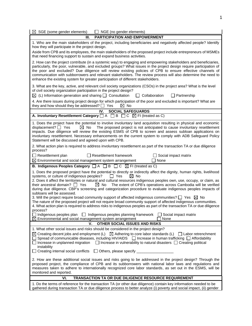| $\boxtimes$ SGE (some gender elements)<br>NGE (no gender elements)                                                                                                                                                                                                                                                                                                                                                                                                                                                                                                                                                                                                                                                                                                                                                                                                                                                                                                  |  |  |  |  |
|---------------------------------------------------------------------------------------------------------------------------------------------------------------------------------------------------------------------------------------------------------------------------------------------------------------------------------------------------------------------------------------------------------------------------------------------------------------------------------------------------------------------------------------------------------------------------------------------------------------------------------------------------------------------------------------------------------------------------------------------------------------------------------------------------------------------------------------------------------------------------------------------------------------------------------------------------------------------|--|--|--|--|
| <b>PARTICIPATION AND EMPOWERMENT</b><br>Ш.                                                                                                                                                                                                                                                                                                                                                                                                                                                                                                                                                                                                                                                                                                                                                                                                                                                                                                                          |  |  |  |  |
| 1. Who are the main stakeholders of the project, including beneficiaries and negatively affected people? Identify<br>how they will participate in the project design.<br>Aside from CPB and its employees, the main stakeholders of the proposed project include entrepreneurs of MSMEs<br>that need financing support to sustain and expand business activities.                                                                                                                                                                                                                                                                                                                                                                                                                                                                                                                                                                                                   |  |  |  |  |
| 2. How can the project contribute (in a systemic way) to engaging and empowering stakeholders and beneficiaries,<br>particularly, the poor, vulnerable, and excluded groups? What issues in the project design require participation of<br>the poor and excluded? Due diligence will review existing policies of CPB to ensure effective channels of<br>communication with subborrowers and relevant stakeholders. The review process will also determine the need to<br>enhance the existing system for greater participation of different stakeholders.                                                                                                                                                                                                                                                                                                                                                                                                           |  |  |  |  |
| 3. What are the key, active, and relevant civil society organizations (CSOs) in the project area? What is the level<br>of civil society organization participation in the project design?<br>$\boxtimes$ (L) Information generation and sharing $\Box$ Consultation<br>$\Box$ Collaboration<br>$\Box$ Partnership                                                                                                                                                                                                                                                                                                                                                                                                                                                                                                                                                                                                                                                   |  |  |  |  |
| 4. Are there issues during project design for which participation of the poor and excluded is important? What are<br>they and how should they be addressed? $\Box$ Yes<br>$\boxtimes$ No                                                                                                                                                                                                                                                                                                                                                                                                                                                                                                                                                                                                                                                                                                                                                                            |  |  |  |  |
| <b>SOCIAL SAFEGUARDS</b><br>IV.                                                                                                                                                                                                                                                                                                                                                                                                                                                                                                                                                                                                                                                                                                                                                                                                                                                                                                                                     |  |  |  |  |
| A. Involuntary Resettlement Category $\Box A$ $\Box B$ $\Box C$ $\boxtimes$ FI (treated as C)                                                                                                                                                                                                                                                                                                                                                                                                                                                                                                                                                                                                                                                                                                                                                                                                                                                                       |  |  |  |  |
| 1. Does the project have the potential to involve involuntary land acquisition resulting in physical and economic<br>displacement? $\Box$ Yes<br>$\boxtimes$ No<br>The proposed project is not anticipated to cause involuntary resettlement<br>impacts. Due diligence will review the existing ESMS of CPB to screen and assess subloan applications on<br>involuntary resettlement. Necessary enhancements on the current system to comply with ADB Safeguard Policy<br>Statement will be discussed and agreed upon with CPB.                                                                                                                                                                                                                                                                                                                                                                                                                                     |  |  |  |  |
| 2. What action plan is required to address involuntary resettlement as part of the transaction TA or due diligence<br>process?                                                                                                                                                                                                                                                                                                                                                                                                                                                                                                                                                                                                                                                                                                                                                                                                                                      |  |  |  |  |
| $\Box$ Resettlement plan<br>$\Box$ Resettlement framework<br>Social impact matrix<br>$\boxtimes$ Environmental and social management system arrangement<br>∃ None                                                                                                                                                                                                                                                                                                                                                                                                                                                                                                                                                                                                                                                                                                                                                                                                   |  |  |  |  |
| <b>B.</b> Indigenous Peoples Category $\Box A \Box B \Box C \boxtimes F$ (treated as C)                                                                                                                                                                                                                                                                                                                                                                                                                                                                                                                                                                                                                                                                                                                                                                                                                                                                             |  |  |  |  |
| 1. Does the proposed project have the potential to directly or indirectly affect the dignity, human rights, livelihood<br>systems, or culture of indigenous peoples?<br>Yes<br>$\boxtimes$ No<br>2. Does it affect the territories or natural and cultural resources indigenous peoples own, use, occupy, or claim, as<br>$\boxtimes$ No<br>The extent of CPB's operations across Cambodia will be verified<br>their ancestral domain? $\Box$ Yes<br>during due diligence. CBP's screening and categorization procedure to evaluate indigenous peoples impacts of<br>subloans will be assessed.<br>3. Will the project require broad community support of affected indigenous communities? $\square$ Yes $\boxtimes$ No<br>The nature of the proposed project will not require broad community support of affected indigenous communities.<br>4. What action plan is required to address risks to indigenous peoples as part of the transaction TA or due diligence |  |  |  |  |
| process?<br>Indigenous peoples plan   Indigenous peoples planning framework<br>Social impact matrix<br>Environmental and social management system arrangement<br>None                                                                                                                                                                                                                                                                                                                                                                                                                                                                                                                                                                                                                                                                                                                                                                                               |  |  |  |  |
| v.<br><b>OTHER SOCIAL ISSUES AND RISKS</b>                                                                                                                                                                                                                                                                                                                                                                                                                                                                                                                                                                                                                                                                                                                                                                                                                                                                                                                          |  |  |  |  |
| 1. What other social issues and risks should be considered in the project design?<br>$\boxtimes$ Creating decent jobs and employment (L) $\boxtimes$ Adhering to core labor standards (L)<br>  Labor retrenchment<br>Spread of communicable diseases, including HIV/AIDS $\Box$ Increase in human trafficking $\Box$ Affordability<br>Increase in unplanned migration<br>$\Box$ Increase in vulnerability to natural disasters $\Box$ Creating political<br>instability<br>Creating internal social conflicts<br>$\Box$ Others, please specify _                                                                                                                                                                                                                                                                                                                                                                                                                    |  |  |  |  |
| 2. How are these additional social issues and risks going to be addressed in the project design? Through the<br>proposed project, the compliance of CPB and its subborrowers with national labor laws and regulations and<br>measures taken to adhere to internationally recognized core labor standards, as set out in the ESMS, will be<br>monitored and reported.                                                                                                                                                                                                                                                                                                                                                                                                                                                                                                                                                                                                |  |  |  |  |
| VI.<br><b>TRANSACTION TA OR DUE DILIGENCE RESOURCE REQUIREMENT</b>                                                                                                                                                                                                                                                                                                                                                                                                                                                                                                                                                                                                                                                                                                                                                                                                                                                                                                  |  |  |  |  |
| 1. Do the terms of reference for the transaction TA (or other due diligence) contain key information needed to be<br>gathered during transaction TA or due diligence process to better analyze (i) poverty and social impact, (ii) gender                                                                                                                                                                                                                                                                                                                                                                                                                                                                                                                                                                                                                                                                                                                           |  |  |  |  |